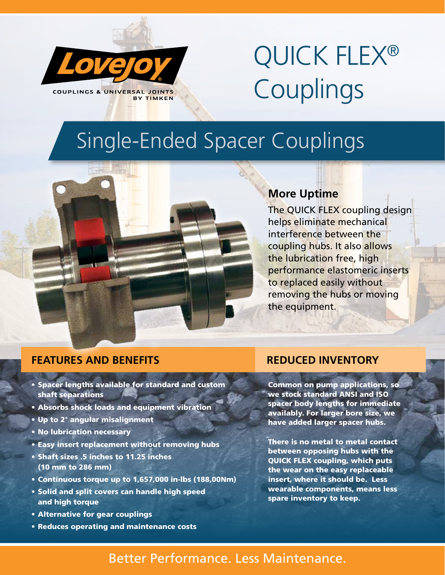

# QUICK FLEX® Couplings

# Single-Ended Spacer Couplings



The QUICK FLEX coupling design helps eliminate mechanical interference between the coupling hubs. It also allows the lubrication free, high performance elastomeric inserts to replaced easily without removing the hubs or moving the equipment.

## **FEATURES AND BENEFITS REDUCED INVENTORY**

- Spacer lengths available for standard and custom shaft separations
- Absorbs shock loads and equipment vibration
- Up to 2° angular misalignment
- No lubrication necessary
- Easy insert replacement without removing hubs
- Shaft sizes .5 inches to 11.25 inches (10 mm to 286 mm)
- Continuous torque up to 1,657,000 in-lbs (188,00Nm)
- Solid and split covers can handle high speed and high torque
- Alternative for gear couplings
- Reduces operating and maintenance costs

**Common on pump applications, so** we stock standard ANSI and ISO spacer body lengths for immediate availably. For larger bore size, we have added larger spacer hubs.

There is no metal to metal contact between opposing hubs with the QUICK FLEX coupling, which puts the wear on the easy replaceable insert, where it should be. Less wearable components, means less spare inventory to keep.

# Better Performance. Less Maintenance.